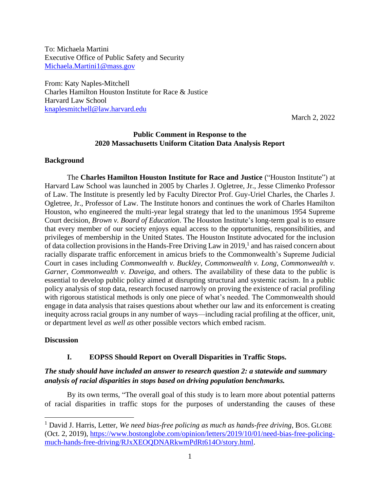To: Michaela Martini Executive Office of Public Safety and Security [Michaela.Martini1@mass.gov](mailto:Michaela.Martini1@mass.gov)

From: Katy Naples-Mitchell Charles Hamilton Houston Institute for Race & Justice Harvard Law School [knaplesmitchell@law.harvard.edu](mailto:knaplesmitchell@law.harvard.edu)

March 2, 2022

### **Public Comment in Response to the 2020 Massachusetts Uniform Citation Data Analysis Report**

#### **Background**

The **Charles Hamilton Houston Institute for Race and Justice** ("Houston Institute") at Harvard Law School was launched in 2005 by Charles J. Ogletree, Jr., Jesse Climenko Professor of Law. The Institute is presently led by Faculty Director Prof. Guy-Uriel Charles, the Charles J. Ogletree, Jr., Professor of Law. The Institute honors and continues the work of Charles Hamilton Houston, who engineered the multi-year legal strategy that led to the unanimous 1954 Supreme Court decision, *Brown v. Board of Education*. The Houston Institute's long-term goal is to ensure that every member of our society enjoys equal access to the opportunities, responsibilities, and privileges of membership in the United States. The Houston Institute advocated for the inclusion of data collection provisions in the Hands-Free Driving Law in 2019,<sup>1</sup> and has raised concern about racially disparate traffic enforcement in amicus briefs to the Commonwealth's Supreme Judicial Court in cases including *Commonwealth v. Buckley*, *Commonwealth v. Long*, *Commonwealth v. Garner*, *Commonwealth v. Daveiga*, and others. The availability of these data to the public is essential to develop public policy aimed at disrupting structural and systemic racism. In a public policy analysis of stop data, research focused narrowly on proving the existence of racial profilin*g* with rigorous statistical methods is only one piece of what's needed. The Commonwealth should engage in data analysis that raises questions about whether our law and its enforcement is creating inequity across racial groups in any number of ways—including racial profiling at the officer, unit, or department level *as well as* other possible vectors which embed racism.

#### **Discussion**

#### **I. EOPSS Should Report on Overall Disparities in Traffic Stops.**

## *The study should have included an answer to research question 2: a statewide and summary analysis of racial disparities in stops based on driving population benchmarks.*

By its own terms, "The overall goal of this study is to learn more about potential patterns of racial disparities in traffic stops for the purposes of understanding the causes of these

<sup>&</sup>lt;sup>1</sup> David J. Harris, Letter, *We need bias-free policing as much as hands-free driving*, BOS. GLOBE (Oct. 2, 2019), [https://www.bostonglobe.com/opinion/letters/2019/10/01/need-bias-free-policing](https://www.bostonglobe.com/opinion/letters/2019/10/01/need-bias-free-policing-much-hands-free-driving/RJxXEOQDNARkwmPdRt614O/story.html)[much-hands-free-driving/RJxXEOQDNARkwmPdRt614O/story.html.](https://www.bostonglobe.com/opinion/letters/2019/10/01/need-bias-free-policing-much-hands-free-driving/RJxXEOQDNARkwmPdRt614O/story.html)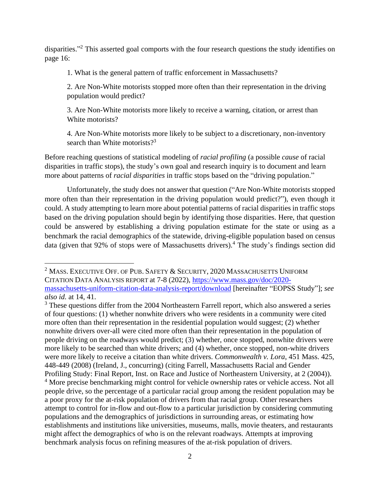disparities."<sup>2</sup> This asserted goal comports with the four research questions the study identifies on page 16:

1. What is the general pattern of traffic enforcement in Massachusetts?

2. Are Non-White motorists stopped more often than their representation in the driving population would predict?

3. Are Non-White motorists more likely to receive a warning, citation, or arrest than White motorists?

4. Are Non-White motorists more likely to be subject to a discretionary, non-inventory search than White motorists? $3^3$ 

Before reaching questions of statistical modeling of *racial profiling* (a possible *cause* of racial disparities in traffic stops), the study's own goal and research inquiry is to document and learn more about patterns of *racial disparities* in traffic stops based on the "driving population."

Unfortunately, the study does not answer that question ("Are Non-White motorists stopped more often than their representation in the driving population would predict?"), even though it could. A study attempting to learn more about potential patterns of racial disparities in traffic stops based on the driving population should begin by identifying those disparities. Here, that question could be answered by establishing a driving population estimate for the state or using as a benchmark the racial demographics of the statewide, driving-eligible population based on census data (given that 92% of stops were of Massachusetts drivers). <sup>4</sup> The study's findings section did

 $2$  Mass. Executive Off. of Pub. Safety & Security, 2020 Massachusetts Uniform CITATION DATA ANALYSIS REPORT at 7-8 (2022), [https://www.mass.gov/doc/2020](https://www.mass.gov/doc/2020-massachusetts-uniform-citation-data-analysis-report/download) [massachusetts-uniform-citation-data-analysis-report/download](https://www.mass.gov/doc/2020-massachusetts-uniform-citation-data-analysis-report/download) [hereinafter "EOPSS Study"]; *see also id.* at 14, 41.

<sup>&</sup>lt;sup>3</sup> These questions differ from the 2004 Northeastern Farrell report, which also answered a series of four questions: (1) whether nonwhite drivers who were residents in a community were cited more often than their representation in the residential population would suggest; (2) whether nonwhite drivers over-all were cited more often than their representation in the population of people driving on the roadways would predict; (3) whether, once stopped, nonwhite drivers were more likely to be searched than white drivers; and (4) whether, once stopped, non-white drivers were more likely to receive a citation than white drivers. *Commonwealth v. Lora*, 451 Mass. 425, 448-449 (2008) (Ireland, J., concurring) (citing Farrell, Massachusetts Racial and Gender Profiling Study: Final Report, Inst. on Race and Justice of Northeastern University, at 2 (2004)). <sup>4</sup> More precise benchmarking might control for vehicle ownership rates or vehicle access. Not all people drive, so the percentage of a particular racial group among the resident population may be a poor proxy for the at-risk population of drivers from that racial group. Other researchers attempt to control for in-flow and out-flow to a particular jurisdiction by considering commuting populations and the demographics of jurisdictions in surrounding areas, or estimating how establishments and institutions like universities, museums, malls, movie theaters, and restaurants might affect the demographics of who is on the relevant roadways. Attempts at improving benchmark analysis focus on refining measures of the at-risk population of drivers.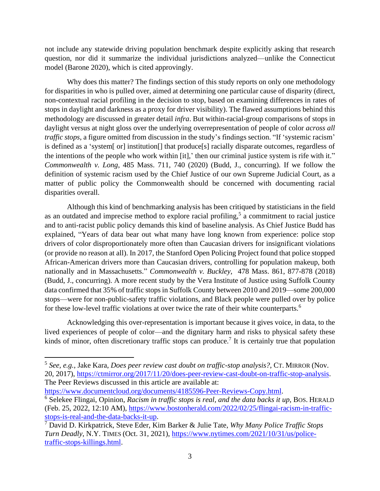not include any statewide driving population benchmark despite explicitly asking that research question, nor did it summarize the individual jurisdictions analyzed—unlike the Connecticut model (Barone 2020), which is cited approvingly.

Why does this matter? The findings section of this study reports on only one methodology for disparities in who is pulled over, aimed at determining one particular cause of disparity (direct, non-contextual racial profiling in the decision to stop, based on examining differences in rates of stops in daylight and darkness as a proxy for driver visibility). The flawed assumptions behind this methodology are discussed in greater detail *infra*. But within-racial-group comparisons of stops in daylight versus at night gloss over the underlying overrepresentation of people of color *across all traffic stops*, a figure omitted from discussion in the study's findings section. "If 'systemic racism' is defined as a 'system[ or] institution[] that produce[s] racially disparate outcomes, regardless of the intentions of the people who work within [it],' then our criminal justice system is rife with it." *Commonwealth v. Long*, 485 Mass. 711, 740 (2020) (Budd, J., concurring). If we follow the definition of systemic racism used by the Chief Justice of our own Supreme Judicial Court, as a matter of public policy the Commonwealth should be concerned with documenting racial disparities overall.

Although this kind of benchmarking analysis has been critiqued by statisticians in the field as an outdated and imprecise method to explore racial profiling,<sup>5</sup> a commitment to racial justice and to anti-racist public policy demands this kind of baseline analysis. As Chief Justice Budd has explained, "Years of data bear out what many have long known from experience: police stop drivers of color disproportionately more often than Caucasian drivers for insignificant violations (or provide no reason at all). In 2017, the Stanford Open Policing Project found that police stopped African-American drivers more than Caucasian drivers, controlling for population makeup, both nationally and in Massachusetts." *Commonwealth v. Buckley*, 478 Mass. 861, 877-878 (2018) (Budd, J., concurring). A more recent study by the Vera Institute of Justice using Suffolk County data confirmed that 35% of traffic stops in Suffolk County between 2010 and 2019—some 200,000 stops—were for non-public-safety traffic violations, and Black people were pulled over by police for these low-level traffic violations at over twice the rate of their white counterparts.<sup>6</sup>

Acknowledging this over-representation is important because it gives voice, in data, to the lived experiences of people of color—and the dignitary harm and risks to physical safety these kinds of minor, often discretionary traffic stops can produce.<sup>7</sup> It is certainly true that population

[https://www.documentcloud.org/documents/4185596-Peer-Reviews-Copy.html.](https://www.documentcloud.org/documents/4185596-Peer-Reviews-Copy.html)

<sup>5</sup> *See, e.g.*, Jake Kara, *Does peer review cast doubt on traffic-stop analysis?*, CT. MIRROR (Nov. 20, 2017), [https://ctmirror.org/2017/11/20/does-peer-review-cast-doubt-on-traffic-stop-analysis.](https://ctmirror.org/2017/11/20/does-peer-review-cast-doubt-on-traffic-stop-analysis) The Peer Reviews discussed in this article are available at:

<sup>6</sup> Selekee Flingai, Opinion, *Racism in traffic stops is real, and the data backs it up*, BOS. HERALD (Feb. 25, 2022, 12:10 AM), [https://www.bostonherald.com/2022/02/25/flingai-racism-in-traffic](https://www.bostonherald.com/2022/02/25/flingai-racism-in-traffic-stops-is-real-and-the-data-backs-it-up)[stops-is-real-and-the-data-backs-it-up.](https://www.bostonherald.com/2022/02/25/flingai-racism-in-traffic-stops-is-real-and-the-data-backs-it-up)

<sup>7</sup> David D. Kirkpatrick, Steve Eder, Kim Barker & Julie Tate, *Why Many Police Traffic Stops Turn Deadly*, N.Y. TIMES (Oct. 31, 2021), [https://www.nytimes.com/2021/10/31/us/police](https://www.nytimes.com/2021/10/31/us/police-traffic-stops-killings.html)[traffic-stops-killings.html.](https://www.nytimes.com/2021/10/31/us/police-traffic-stops-killings.html)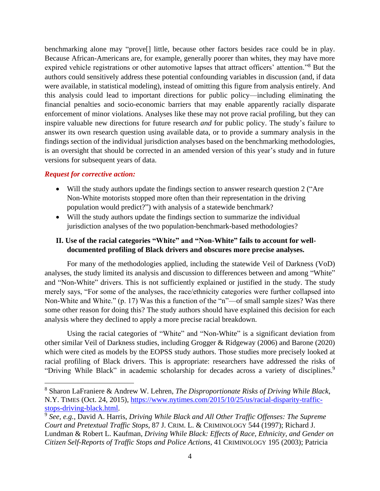benchmarking alone may "prove[] little, because other factors besides race could be in play. Because African-Americans are, for example, generally poorer than whites, they may have more expired vehicle registrations or other automotive lapses that attract officers' attention."<sup>8</sup> But the authors could sensitively address these potential confounding variables in discussion (and, if data were available, in statistical modeling), instead of omitting this figure from analysis entirely. And this analysis could lead to important directions for public policy—including eliminating the financial penalties and socio-economic barriers that may enable apparently racially disparate enforcement of minor violations. Analyses like these may not prove racial profiling, but they can inspire valuable new directions for future research *and* for public policy. The study's failure to answer its own research question using available data, or to provide a summary analysis in the findings section of the individual jurisdiction analyses based on the benchmarking methodologies, is an oversight that should be corrected in an amended version of this year's study and in future versions for subsequent years of data.

### *Request for corrective action:*

- Will the study authors update the findings section to answer research question 2 ("Are Non-White motorists stopped more often than their representation in the driving population would predict?") with analysis of a statewide benchmark?
- Will the study authors update the findings section to summarize the individual jurisdiction analyses of the two population-benchmark-based methodologies?

## **II. Use of the racial categories "White" and "Non-White" fails to account for welldocumented profiling of Black drivers and obscures more precise analyses.**

For many of the methodologies applied, including the statewide Veil of Darkness (VoD) analyses, the study limited its analysis and discussion to differences between and among "White" and "Non-White" drivers. This is not sufficiently explained or justified in the study. The study merely says, "For some of the analyses, the race/ethnicity categories were further collapsed into Non-White and White." (p. 17) Was this a function of the "n"—of small sample sizes? Was there some other reason for doing this? The study authors should have explained this decision for each analysis where they declined to apply a more precise racial breakdown.

Using the racial categories of "White" and "Non-White" is a significant deviation from other similar Veil of Darkness studies, including Grogger & Ridgeway (2006) and Barone (2020) which were cited as models by the EOPSS study authors. Those studies more precisely looked at racial profiling of Black drivers. This is appropriate: researchers have addressed the risks of "Driving While Black" in academic scholarship for decades across a variety of disciplines.<sup>9</sup>

<sup>8</sup> Sharon LaFraniere & Andrew W. Lehren, *The Disproportionate Risks of Driving While Black*, N.Y. TIMES (Oct. 24, 2015), [https://www.nytimes.com/2015/10/25/us/racial-disparity-traffic](https://www.nytimes.com/2015/10/25/us/racial-disparity-traffic-stops-driving-black.html)[stops-driving-black.html.](https://www.nytimes.com/2015/10/25/us/racial-disparity-traffic-stops-driving-black.html)

<sup>9</sup> *See, e.g.*, David A. Harris, *Driving While Black and All Other Traffic Offenses: The Supreme Court and Pretextual Traffic Stops*, 87 J. CRIM. L. & CRIMINOLOGY 544 (1997); Richard J. Lundman & Robert L. Kaufman, *Driving While Black: Effects of Race, Ethnicity, and Gender on Citizen Self-Reports of Traffic Stops and Police Actions*, 41 CRIMINOLOGY 195 (2003); Patricia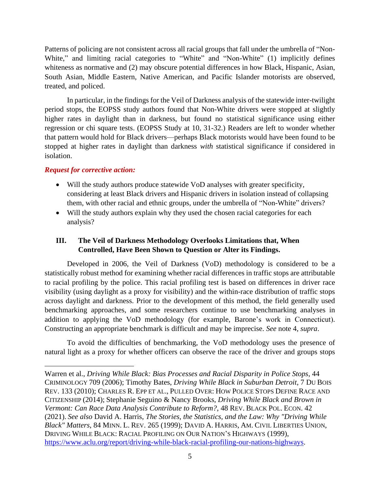Patterns of policing are not consistent across all racial groups that fall under the umbrella of "Non-White," and limiting racial categories to "White" and "Non-White" (1) implicitly defines whiteness as normative and (2) may obscure potential differences in how Black, Hispanic, Asian, South Asian, Middle Eastern, Native American, and Pacific Islander motorists are observed, treated, and policed.

In particular, in the findings for the Veil of Darkness analysis of the statewide inter-twilight period stops, the EOPSS study authors found that Non-White drivers were stopped at slightly higher rates in daylight than in darkness, but found no statistical significance using either regression or chi square tests. (EOPSS Study at 10, 31-32.) Readers are left to wonder whether that pattern would hold for Black drivers—perhaps Black motorists would have been found to be stopped at higher rates in daylight than darkness *with* statistical significance if considered in isolation.

### *Request for corrective action:*

- Will the study authors produce statewide VoD analyses with greater specificity, considering at least Black drivers and Hispanic drivers in isolation instead of collapsing them, with other racial and ethnic groups, under the umbrella of "Non-White" drivers?
- Will the study authors explain why they used the chosen racial categories for each analysis?

# **III. The Veil of Darkness Methodology Overlooks Limitations that, When Controlled, Have Been Shown to Question or Alter its Findings.**

Developed in 2006, the Veil of Darkness (VoD) methodology is considered to be a statistically robust method for examining whether racial differences in traffic stops are attributable to racial profiling by the police. This racial profiling test is based on differences in driver race visibility (using daylight as a proxy for visibility) and the within-race distribution of traffic stops across daylight and darkness. Prior to the development of this method, the field generally used benchmarking approaches, and some researchers continue to use benchmarking analyses in addition to applying the VoD methodology (for example, Barone's work in Connecticut). Constructing an appropriate benchmark is difficult and may be imprecise. *See* note 4, *supra*.

To avoid the difficulties of benchmarking, the VoD methodology uses the presence of natural light as a proxy for whether officers can observe the race of the driver and groups stops

Warren et al., *Driving While Black: Bias Processes and Racial Disparity in Police Stops*, 44 CRIMINOLOGY 709 (2006); Timothy Bates, *Driving While Black in Suburban Detroit*, 7 DU BOIS REV. 133 (2010); CHARLES R. EPP ET AL., PULLED OVER: HOW POLICE STOPS DEFINE RACE AND CITIZENSHIP (2014); Stephanie Seguino & Nancy Brooks, *Driving While Black and Brown in Vermont: Can Race Data Analysis Contribute to Reform?*, 48 REV. BLACK POL. ECON. 42 (2021). *See also* David A. Harris, *The Stories, the Statistics, and the Law: Why "Driving While Black" Matters*, 84 MINN. L. REV. 265 (1999); DAVID A. HARRIS, AM. CIVIL LIBERTIES UNION, DRIVING WHILE BLACK: RACIAL PROFILING ON OUR NATION'S HIGHWAYS (1999), [https://www.aclu.org/report/driving-while-black-racial-profiling-our-nations-highways.](https://www.aclu.org/report/driving-while-black-racial-profiling-our-nations-highways)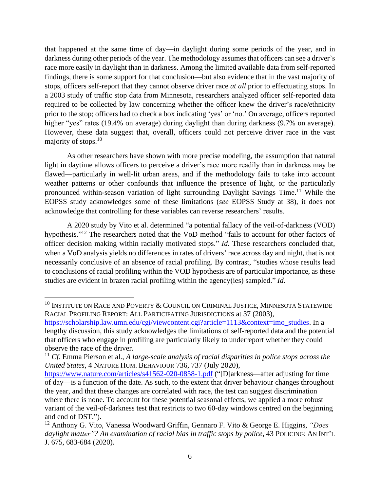that happened at the same time of day—in daylight during some periods of the year, and in darkness during other periods of the year. The methodology assumes that officers can see a driver's race more easily in daylight than in darkness. Among the limited available data from self-reported findings, there is some support for that conclusion—but also evidence that in the vast majority of stops, officers self-report that they cannot observe driver race *at all* prior to effectuating stops. In a 2003 study of traffic stop data from Minnesota, researchers analyzed officer self-reported data required to be collected by law concerning whether the officer knew the driver's race/ethnicity prior to the stop; officers had to check a box indicating 'yes' or 'no.' On average, officers reported higher "yes" rates (19.4% on average) during daylight than during darkness (9.7% on average). However, these data suggest that, overall, officers could not perceive driver race in the vast majority of stops. 10

As other researchers have shown with more precise modeling, the assumption that natural light in daytime allows officers to perceive a driver's race more readily than in darkness may be flawed—particularly in well-lit urban areas, and if the methodology fails to take into account weather patterns or other confounds that influence the presence of light, or the particularly pronounced within-season variation of light surrounding Daylight Savings Time.<sup>11</sup> While the EOPSS study acknowledges some of these limitations (*see* EOPSS Study at 38), it does not acknowledge that controlling for these variables can reverse researchers' results.

A 2020 study by Vito et al. determined "a potential fallacy of the veil-of-darkness (VOD) hypothesis."<sup>12</sup> The researchers noted that the VoD method "fails to account for other factors of officer decision making within racially motivated stops." *Id.* These researchers concluded that, when a VoD analysis yields no differences in rates of drivers' race across day and night, that is not necessarily conclusive of an absence of racial profiling. By contrast, "studies whose results lead to conclusions of racial profiling within the VOD hypothesis are of particular importance, as these studies are evident in brazen racial profiling within the agency(ies) sampled." *Id.*

 $^{10}$  INSTITUTE ON RACE AND POVERTY  $\&$  COUNCIL ON CRIMINAL JUSTICE, MINNESOTA STATEWIDE RACIAL PROFILING REPORT: ALL PARTICIPATING JURISDICTIONS at 37 (2003),

[https://scholarship.law.umn.edu/cgi/viewcontent.cgi?article=1113&context=imo\\_studies.](https://scholarship.law.umn.edu/cgi/viewcontent.cgi?article=1113&context=imo_studies) In a lengthy discussion, this study acknowledges the limitations of self-reported data and the potential that officers who engage in profiling are particularly likely to underreport whether they could observe the race of the driver.

<sup>11</sup> *Cf.* Emma Pierson et al., *A large-scale analysis of racial disparities in police stops across the United States*, 4 NATURE HUM. BEHAVIOUR 736, 737 (July 2020),

<https://www.nature.com/articles/s41562-020-0858-1.pdf> ("[D]arkness—after adjusting for time of day—is a function of the date. As such, to the extent that driver behaviour changes throughout the year, and that these changes are correlated with race, the test can suggest discrimination where there is none. To account for these potential seasonal effects, we applied a more robust variant of the veil-of-darkness test that restricts to two 60-day windows centred on the beginning and end of DST.").

<sup>12</sup> Anthony G. Vito, Vanessa Woodward Griffin, Gennaro F. Vito & George E. Higgins, *"Does daylight matter"? An examination of racial bias in traffic stops by police*, 43 POLICING: AN INT'L J. 675, 683-684 (2020).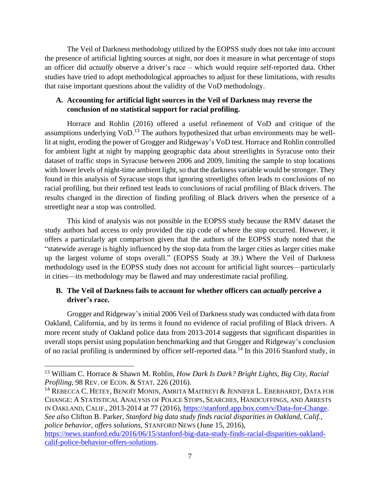The Veil of Darkness methodology utilized by the EOPSS study does not take into account the presence of artificial lighting sources at night, nor does it measure in what percentage of stops an officer did *actually* observe a driver's race – which would require self-reported data. Other studies have tried to adopt methodological approaches to adjust for these limitations, with results that raise important questions about the validity of the VoD methodology.

## **A. Accounting for artificial light sources in the Veil of Darkness may reverse the conclusion of no statistical support for racial profiling.**

Horrace and Rohlin (2016) offered a useful refinement of VoD and critique of the assumptions underlying VoD.<sup>13</sup> The authors hypothesized that urban environments may be welllit at night, eroding the power of Grogger and Ridgeway's VoD test. Horrace and Rohlin controlled for ambient light at night by mapping geographic data about streetlights in Syracuse onto their dataset of traffic stops in Syracuse between 2006 and 2009, limiting the sample to stop locations with lower levels of night-time ambient light, so that the darkness variable would be stronger. They found in this analysis of Syracuse stops that ignoring streetlights often leads to conclusions of no racial profiling, but their refined test leads to conclusions of racial profiling of Black drivers. The results changed in the direction of finding profiling of Black drivers when the presence of a streetlight near a stop was controlled.

This kind of analysis was not possible in the EOPSS study because the RMV dataset the study authors had access to only provided the zip code of where the stop occurred. However, it offers a particularly apt comparison given that the authors of the EOPSS study noted that the "statewide average is highly influenced by the stop data from the larger cities as larger cities make up the largest volume of stops overall." (EOPSS Study at 39.) Where the Veil of Darkness methodology used in the EOPSS study does not account for artificial light sources—particularly in cities—its methodology may be flawed and may underestimate racial profiling.

# **B. The Veil of Darkness fails to account for whether officers can** *actually* **perceive a driver's race.**

Grogger and Ridgeway's initial 2006 Veil of Darkness study was conducted with data from Oakland, California, and by its terms it found no evidence of racial profiling of Black drivers. A more recent study of Oakland police data from 2013-2014 suggests that significant disparities in overall stops persist using population benchmarking and that Grogger and Ridgeway's conclusion of no racial profiling is undermined by officer self-reported data.<sup>14</sup> In this 2016 Stanford study, in

 $^{14}$  Rebecca C. Hetey, Benoît Monin, Amrita Maitreyi & Jennifer L. Eberhardt, Data for CHANGE: A STATISTICAL ANALYSIS OF POLICE STOPS, SEARCHES, HANDCUFFINGS, AND ARRESTS IN OAKLAND, CALIF., 2013-2014 at 77 (2016), [https://stanford.app.box.com/v/Data-for-Change.](https://stanford.app.box.com/v/Data-for-Change) *See also* Clifton B. Parker, *Stanford big data study finds racial disparities in Oakland, Calif., police behavior, offers solutions*, STANFORD NEWS (June 15, 2016), [https://news.stanford.edu/2016/06/15/stanford-big-data-study-finds-racial-disparities-oakland](https://news.stanford.edu/2016/06/15/stanford-big-data-study-finds-racial-disparities-oakland-calif-police-behavior-offers-solutions/)[calif-police-behavior-offers-solutions.](https://news.stanford.edu/2016/06/15/stanford-big-data-study-finds-racial-disparities-oakland-calif-police-behavior-offers-solutions/)

<sup>13</sup> William C. Horrace & Shawn M. Rohlin, *How Dark Is Dark? Bright Lights, Big City, Racial Profiling*, 98 REV. OF ECON. & STAT. 226 (2016).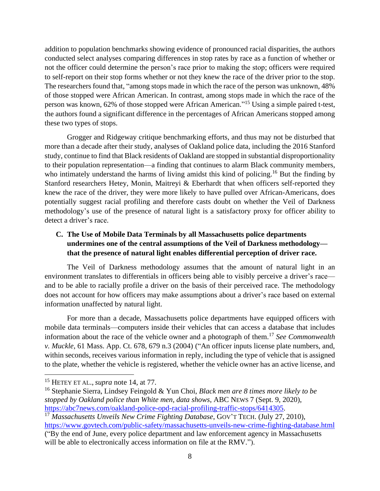addition to population benchmarks showing evidence of pronounced racial disparities, the authors conducted select analyses comparing differences in stop rates by race as a function of whether or not the officer could determine the person's race prior to making the stop; officers were required to self-report on their stop forms whether or not they knew the race of the driver prior to the stop. The researchers found that, "among stops made in which the race of the person was unknown, 48% of those stopped were African American. In contrast, among stops made in which the race of the person was known, 62% of those stopped were African American."<sup>15</sup> Using a simple paired t-test, the authors found a significant difference in the percentages of African Americans stopped among these two types of stops.

Grogger and Ridgeway critique benchmarking efforts, and thus may not be disturbed that more than a decade after their study, analyses of Oakland police data, including the 2016 Stanford study, continue to find that Black residents of Oakland are stopped in substantial disproportionality to their population representation—a finding that continues to alarm Black community members, who intimately understand the harms of living amidst this kind of policing.<sup>16</sup> But the finding by Stanford researchers Hetey, Monin, Maitreyi & Eberhardt that when officers self-reported they knew the race of the driver, they were more likely to have pulled over African-Americans, does potentially suggest racial profiling and therefore casts doubt on whether the Veil of Darkness methodology's use of the presence of natural light is a satisfactory proxy for officer ability to detect a driver's race.

# **C. The Use of Mobile Data Terminals by all Massachusetts police departments undermines one of the central assumptions of the Veil of Darkness methodology that the presence of natural light enables differential perception of driver race.**

The Veil of Darkness methodology assumes that the amount of natural light in an environment translates to differentials in officers being able to visibly perceive a driver's race and to be able to racially profile a driver on the basis of their perceived race. The methodology does not account for how officers may make assumptions about a driver's race based on external information unaffected by natural light.

For more than a decade, Massachusetts police departments have equipped officers with mobile data terminals—computers inside their vehicles that can access a database that includes information about the race of the vehicle owner and a photograph of them.<sup>17</sup> *See Commonwealth v. Muckle*, 61 Mass. App. Ct. 678, 679 n.3 (2004) ("An officer inputs license plate numbers, and, within seconds, receives various information in reply, including the type of vehicle that is assigned to the plate, whether the vehicle is registered, whether the vehicle owner has an active license, and

<sup>15</sup> HETEY ET AL., *supra* note 14, at 77.

<sup>16</sup> Stephanie Sierra, Lindsey Feingold & Yun Choi, *Black men are 8 times more likely to be stopped by Oakland police than White men, data shows*, ABC NEWS 7 (Sept. 9, 2020), [https://abc7news.com/oakland-police-opd-racial-profiling-traffic-stops/6414305.](https://abc7news.com/oakland-police-opd-racial-profiling-traffic-stops/6414305)

<sup>17</sup> *Massachusetts Unveils New Crime Fighting Database*, GOV'T TECH. (July 27, 2010), <https://www.govtech.com/public-safety/massachusetts-unveils-new-crime-fighting-database.html>

<sup>(&</sup>quot;By the end of June, every police department and law enforcement agency in Massachusetts will be able to electronically access information on file at the RMV.").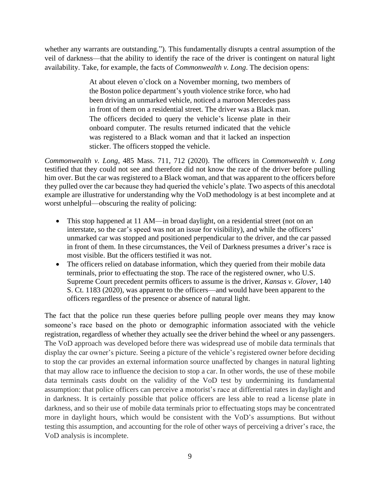whether any warrants are outstanding."). This fundamentally disrupts a central assumption of the veil of darkness—that the ability to identify the race of the driver is contingent on natural light availability. Take, for example, the facts of *Commonwealth v. Long*. The decision opens:

> At about eleven o'clock on a November morning, two members of the Boston police department's youth violence strike force, who had been driving an unmarked vehicle, noticed a maroon Mercedes pass in front of them on a residential street. The driver was a Black man. The officers decided to query the vehicle's license plate in their onboard computer. The results returned indicated that the vehicle was registered to a Black woman and that it lacked an inspection sticker. The officers stopped the vehicle.

*Commonwealth v. Long*, 485 Mass. 711, 712 (2020). The officers in *Commonwealth v. Long* testified that they could not see and therefore did not know the race of the driver before pulling him over. But the car was registered to a Black woman, and that was apparent to the officers before they pulled over the car because they had queried the vehicle's plate. Two aspects of this anecdotal example are illustrative for understanding why the VoD methodology is at best incomplete and at worst unhelpful—obscuring the reality of policing:

- This stop happened at 11 AM—in broad daylight, on a residential street (not on an interstate, so the car's speed was not an issue for visibility), and while the officers' unmarked car was stopped and positioned perpendicular to the driver, and the car passed in front of them. In these circumstances, the Veil of Darkness presumes a driver's race is most visible. But the officers testified it was not.
- The officers relied on database information, which they queried from their mobile data terminals, prior to effectuating the stop. The race of the registered owner, who U.S. Supreme Court precedent permits officers to assume is the driver, *Kansas v. Glover*, 140 S. Ct. 1183 (2020), was apparent to the officers—and would have been apparent to the officers regardless of the presence or absence of natural light.

The fact that the police run these queries before pulling people over means they may know someone's race based on the photo or demographic information associated with the vehicle registration, regardless of whether they actually see the driver behind the wheel or any passengers. The VoD approach was developed before there was widespread use of mobile data terminals that display the car owner's picture. Seeing a picture of the vehicle's registered owner before deciding to stop the car provides an external information source unaffected by changes in natural lighting that may allow race to influence the decision to stop a car. In other words, the use of these mobile data terminals casts doubt on the validity of the VoD test by undermining its fundamental assumption: that police officers can perceive a motorist's race at differential rates in daylight and in darkness. It is certainly possible that police officers are less able to read a license plate in darkness, and so their use of mobile data terminals prior to effectuating stops may be concentrated more in daylight hours, which would be consistent with the VoD's assumptions. But without testing this assumption, and accounting for the role of other ways of perceiving a driver's race, the VoD analysis is incomplete.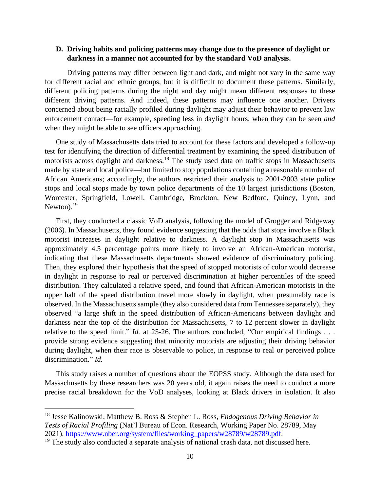### **D. Driving habits and policing patterns may change due to the presence of daylight or darkness in a manner not accounted for by the standard VoD analysis.**

Driving patterns may differ between light and dark, and might not vary in the same way for different racial and ethnic groups, but it is difficult to document these patterns. Similarly, different policing patterns during the night and day might mean different responses to these different driving patterns. And indeed, these patterns may influence one another. Drivers concerned about being racially profiled during daylight may adjust their behavior to prevent law enforcement contact—for example, speeding less in daylight hours, when they can be seen *and* when they might be able to see officers approaching.

One study of Massachusetts data tried to account for these factors and developed a follow-up test for identifying the direction of differential treatment by examining the speed distribution of motorists across daylight and darkness.<sup>18</sup> The study used data on traffic stops in Massachusetts made by state and local police—but limited to stop populations containing a reasonable number of African Americans; accordingly, the authors restricted their analysis to 2001-2003 state police stops and local stops made by town police departments of the 10 largest jurisdictions (Boston, Worcester, Springfield, Lowell, Cambridge, Brockton, New Bedford, Quincy, Lynn, and Newton).<sup>19</sup>

First, they conducted a classic VoD analysis, following the model of Grogger and Ridgeway (2006). In Massachusetts, they found evidence suggesting that the odds that stops involve a Black motorist increases in daylight relative to darkness. A daylight stop in Massachusetts was approximately 4.5 percentage points more likely to involve an African-American motorist, indicating that these Massachusetts departments showed evidence of discriminatory policing. Then, they explored their hypothesis that the speed of stopped motorists of color would decrease in daylight in response to real or perceived discrimination at higher percentiles of the speed distribution. They calculated a relative speed, and found that African-American motorists in the upper half of the speed distribution travel more slowly in daylight, when presumably race is observed. In the Massachusetts sample (they also considered data from Tennessee separately), they observed "a large shift in the speed distribution of African-Americans between daylight and darkness near the top of the distribution for Massachusetts, 7 to 12 percent slower in daylight relative to the speed limit." *Id.* at 25-26. The authors concluded, "Our empirical findings . . . provide strong evidence suggesting that minority motorists are adjusting their driving behavior during daylight, when their race is observable to police, in response to real or perceived police discrimination." *Id.*

This study raises a number of questions about the EOPSS study. Although the data used for Massachusetts by these researchers was 20 years old, it again raises the need to conduct a more precise racial breakdown for the VoD analyses, looking at Black drivers in isolation. It also

<sup>18</sup> Jesse Kalinowski, Matthew B. Ross & Stephen L. Ross, *Endogenous Driving Behavior in Tests of Racial Profiling* (Nat'l Bureau of Econ. Research, Working Paper No. 28789, May 2021), [https://www.nber.org/system/files/working\\_papers/w28789/w28789.pdf.](https://www.nber.org/system/files/working_papers/w28789/w28789.pdf)

<sup>&</sup>lt;sup>19</sup> The study also conducted a separate analysis of national crash data, not discussed here.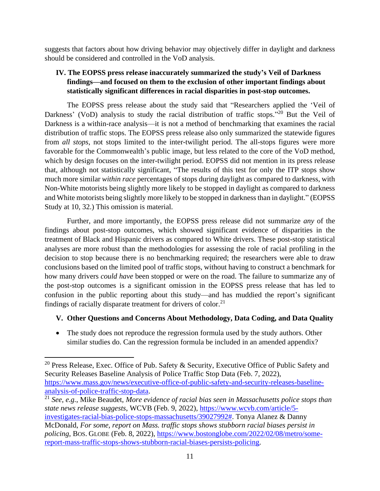suggests that factors about how driving behavior may objectively differ in daylight and darkness should be considered and controlled in the VoD analysis.

# **IV. The EOPSS press release inaccurately summarized the study's Veil of Darkness findings—and focused on them to the exclusion of other important findings about statistically significant differences in racial disparities in post-stop outcomes.**

The EOPSS press release about the study said that "Researchers applied the 'Veil of Darkness' (VoD) analysis to study the racial distribution of traffic stops."<sup>20</sup> But the Veil of Darkness is a within-race analysis—it is not a method of benchmarking that examines the racial distribution of traffic stops. The EOPSS press release also only summarized the statewide figures from *all stops*, not stops limited to the inter-twilight period. The all-stops figures were more favorable for the Commonwealth's public image, but less related to the core of the VoD method, which by design focuses on the inter-twilight period. EOPSS did not mention in its press release that, although not statistically significant, "The results of this test for only the ITP stops show much more similar *within race* percentages of stops during daylight as compared to darkness, with Non-White motorists being slightly more likely to be stopped in daylight as compared to darkness and White motorists being slightly more likely to be stopped in darkness than in daylight." (EOPSS Study at 10, 32.) This omission is material.

Further, and more importantly, the EOPSS press release did not summarize *any* of the findings about post-stop outcomes, which showed significant evidence of disparities in the treatment of Black and Hispanic drivers as compared to White drivers. These post-stop statistical analyses are more robust than the methodologies for assessing the role of racial profiling in the decision to stop because there is no benchmarking required; the researchers were able to draw conclusions based on the limited pool of traffic stops, without having to construct a benchmark for how many drivers *could have* been stopped or were on the road. The failure to summarize any of the post-stop outcomes is a significant omission in the EOPSS press release that has led to confusion in the public reporting about this study—and has muddied the report's significant findings of racially disparate treatment for drivers of color.<sup>21</sup>

## **V. Other Questions and Concerns About Methodology, Data Coding, and Data Quality**

• The study does not reproduce the regression formula used by the study authors. Other similar studies do. Can the regression formula be included in an amended appendix?

<sup>&</sup>lt;sup>20</sup> Press Release, Exec. Office of Pub. Safety & Security, Executive Office of Public Safety and Security Releases Baseline Analysis of Police Traffic Stop Data (Feb. 7, 2022), [https://www.mass.gov/news/executive-office-of-public-safety-and-security-releases-baseline](https://www.mass.gov/news/executive-office-of-public-safety-and-security-releases-baseline-analysis-of-police-traffic-stop-data)[analysis-of-police-traffic-stop-data.](https://www.mass.gov/news/executive-office-of-public-safety-and-security-releases-baseline-analysis-of-police-traffic-stop-data)

<sup>21</sup> *See, e.g.*, Mike Beaudet, *More evidence of racial bias seen in Massachusetts police stops than state news release suggests*, WCVB (Feb. 9, 2022), [https://www.wcvb.com/article/5](https://www.wcvb.com/article/5-investigates-racial-bias-police-stops-massachusetts/39027992) [investigates-racial-bias-police-stops-massachusetts/39027992#.](https://www.wcvb.com/article/5-investigates-racial-bias-police-stops-massachusetts/39027992) Tonya Alanez & Danny McDonald, *For some, report on Mass. traffic stops shows stubborn racial biases persist in policing*, BOS. GLOBE (Feb. 8, 2022), [https://www.bostonglobe.com/2022/02/08/metro/some](https://www.bostonglobe.com/2022/02/08/metro/some-report-mass-traffic-stops-shows-stubborn-racial-biases-persists-policing/)[report-mass-traffic-stops-shows-stubborn-racial-biases-persists-policing.](https://www.bostonglobe.com/2022/02/08/metro/some-report-mass-traffic-stops-shows-stubborn-racial-biases-persists-policing/)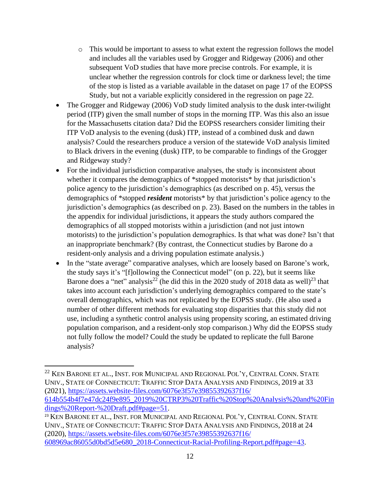- o This would be important to assess to what extent the regression follows the model and includes all the variables used by Grogger and Ridgeway (2006) and other subsequent VoD studies that have more precise controls. For example, it is unclear whether the regression controls for clock time or darkness level; the time of the stop is listed as a variable available in the dataset on page 17 of the EOPSS Study, but not a variable explicitly considered in the regression on page 22.
- The Grogger and Ridgeway (2006) VoD study limited analysis to the dusk inter-twilight period (ITP) given the small number of stops in the morning ITP. Was this also an issue for the Massachusetts citation data? Did the EOPSS researchers consider limiting their ITP VoD analysis to the evening (dusk) ITP, instead of a combined dusk and dawn analysis? Could the researchers produce a version of the statewide VoD analysis limited to Black drivers in the evening (dusk) ITP, to be comparable to findings of the Grogger and Ridgeway study?
- For the individual jurisdiction comparative analyses, the study is inconsistent about whether it compares the demographics of \*stopped motorists\* by that jurisdiction's police agency to the jurisdiction's demographics (as described on p. 45), versus the demographics of \*stopped *resident* motorists\* by that jurisdiction's police agency to the jurisdiction's demographics (as described on p. 23). Based on the numbers in the tables in the appendix for individual jurisdictions, it appears the study authors compared the demographics of all stopped motorists within a jurisdiction (and not just intown motorists) to the jurisdiction's population demographics. Is that what was done? Isn't that an inappropriate benchmark? (By contrast, the Connecticut studies by Barone do a resident-only analysis and a driving population estimate analysis.)
- In the "state average" comparative analyses, which are loosely based on Barone's work, the study says it's "[f]ollowing the Connecticut model" (on p. 22), but it seems like Barone does a "net" analysis<sup>22</sup> (he did this in the 2020 study of 2018 data as well)<sup>23</sup> that takes into account each jurisdiction's underlying demographics compared to the state's overall demographics, which was not replicated by the EOPSS study. (He also used a number of other different methods for evaluating stop disparities that this study did not use, including a synthetic control analysis using propensity scoring, an estimated driving population comparison, and a resident-only stop comparison.) Why did the EOPSS study not fully follow the model? Could the study be updated to replicate the full Barone analysis?

<sup>&</sup>lt;sup>22</sup> KEN BARONE ET AL., INST. FOR MUNICIPAL AND REGIONAL POL'Y, CENTRAL CONN. STATE UNIV., STATE OF CONNECTICUT: TRAFFIC STOP DATA ANALYSIS AND FINDINGS, 2019 at 33 (2021), [https://assets.website-files.com/6076e3f57e39855392637f16/](https://assets.website-files.com/6076e3f57e39855392637f16/%0b614b554b4f7e47dc24f9e895_2019%20CTRP3%20Traffic%20Stop%20Analysis%20and%20Findings%20Report-%20Draft.pdf#page=51) [614b554b4f7e47dc24f9e895\\_2019%20CTRP3%20Traffic%20Stop%20Analysis%20and%20Fin](https://assets.website-files.com/6076e3f57e39855392637f16/%0b614b554b4f7e47dc24f9e895_2019%20CTRP3%20Traffic%20Stop%20Analysis%20and%20Findings%20Report-%20Draft.pdf#page=51) [dings%20Report-%20Draft.pdf#page=51.](https://assets.website-files.com/6076e3f57e39855392637f16/%0b614b554b4f7e47dc24f9e895_2019%20CTRP3%20Traffic%20Stop%20Analysis%20and%20Findings%20Report-%20Draft.pdf#page=51) <sup>23</sup> KEN BARONE ET AL., INST. FOR MUNICIPAL AND REGIONAL POL'Y, CENTRAL CONN. STATE

UNIV., STATE OF CONNECTICUT: TRAFFIC STOP DATA ANALYSIS AND FINDINGS, 2018 at 24 (2020), [https://assets.website-files.com/6076e3f57e39855392637f16/](https://assets.website-files.com/6076e3f57e39855392637f16/%0b608969ac86055d0bd5d5e680_2018-Connecticut-Racial-Profiling-Report.pdf#page=43) [608969ac86055d0bd5d5e680\\_2018-Connecticut-Racial-Profiling-Report.pdf#page=43.](https://assets.website-files.com/6076e3f57e39855392637f16/%0b608969ac86055d0bd5d5e680_2018-Connecticut-Racial-Profiling-Report.pdf#page=43)